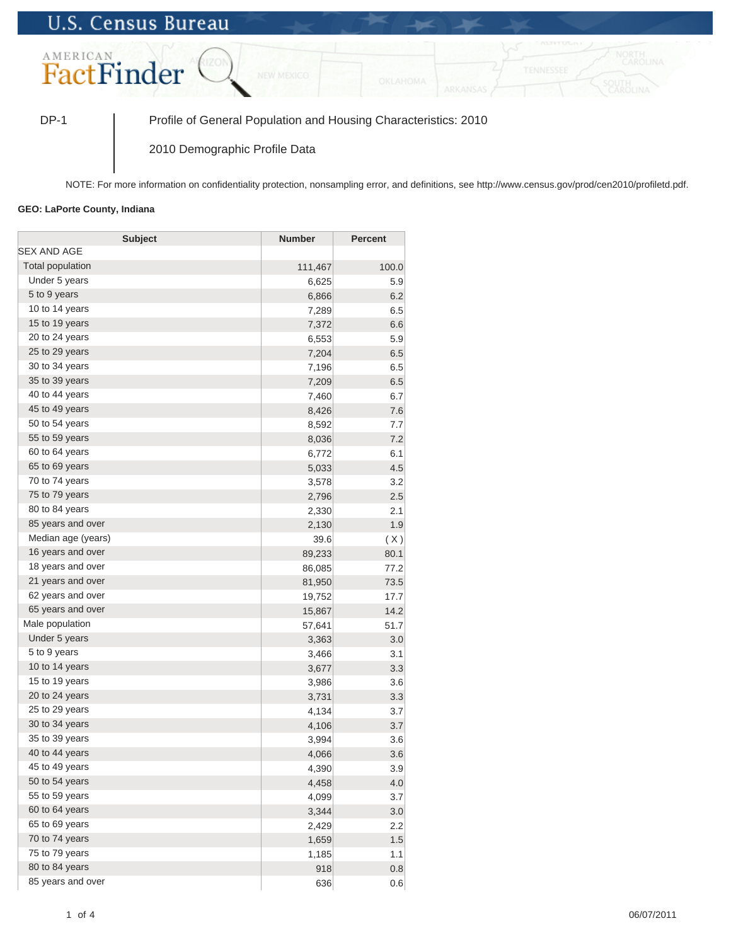## **U.S. Census Bureau**



DP-1 Profile of General Population and Housing Characteristics: 2010

2010 Demographic Profile Data

NOTE: For more information on confidentiality protection, nonsampling error, and definitions, see http://www.census.gov/prod/cen2010/profiletd.pdf.

## **GEO: LaPorte County, Indiana**

| <b>Subject</b>     | <b>Number</b> | <b>Percent</b> |
|--------------------|---------------|----------------|
| <b>SEX AND AGE</b> |               |                |
| Total population   | 111,467       | 100.0          |
| Under 5 years      | 6,625         | 5.9            |
| 5 to 9 years       | 6,866         | 6.2            |
| 10 to 14 years     | 7,289         | 6.5            |
| 15 to 19 years     | 7,372         | 6.6            |
| 20 to 24 years     | 6,553         | 5.9            |
| 25 to 29 years     | 7,204         | 6.5            |
| 30 to 34 years     | 7,196         | 6.5            |
| 35 to 39 years     | 7,209         | 6.5            |
| 40 to 44 years     | 7,460         | 6.7            |
| 45 to 49 years     | 8,426         | 7.6            |
| 50 to 54 years     | 8,592         | 7.7            |
| 55 to 59 years     | 8,036         | 7.2            |
| 60 to 64 years     | 6,772         | 6.1            |
| 65 to 69 years     | 5,033         | 4.5            |
| 70 to 74 years     | 3,578         | 3.2            |
| 75 to 79 years     | 2,796         | 2.5            |
| 80 to 84 years     | 2,330         | 2.1            |
| 85 years and over  | 2,130         | 1.9            |
| Median age (years) | 39.6          | (X)            |
| 16 years and over  | 89,233        | 80.1           |
| 18 years and over  | 86,085        | 77.2           |
| 21 years and over  | 81,950        | 73.5           |
| 62 years and over  | 19,752        | 17.7           |
| 65 years and over  | 15,867        | 14.2           |
| Male population    | 57,641        | 51.7           |
| Under 5 years      | 3,363         | 3.0            |
| 5 to 9 years       | 3,466         | 3.1            |
| 10 to 14 years     | 3,677         | 3.3            |
| 15 to 19 years     | 3,986         | 3.6            |
| 20 to 24 years     | 3,731         | 3.3            |
| 25 to 29 years     | 4,134         | 3.7            |
| 30 to 34 years     | 4,106         | 3.7            |
| 35 to 39 years     | 3,994         | 3.6            |
| 40 to 44 years     | 4,066         | 3.6            |
| 45 to 49 years     | 4,390         | 3.9            |
| 50 to 54 years     | 4,458         | 4.0            |
| 55 to 59 years     | 4,099         | 3.7            |
| 60 to 64 years     | 3,344         | 3.0            |
| 65 to 69 years     | 2,429         | 2.2            |
| 70 to 74 years     | 1,659         | 1.5            |
| 75 to 79 years     | 1,185         | 1.1            |
| 80 to 84 years     | 918           | 0.8            |
| 85 years and over  | 636           | 0.6            |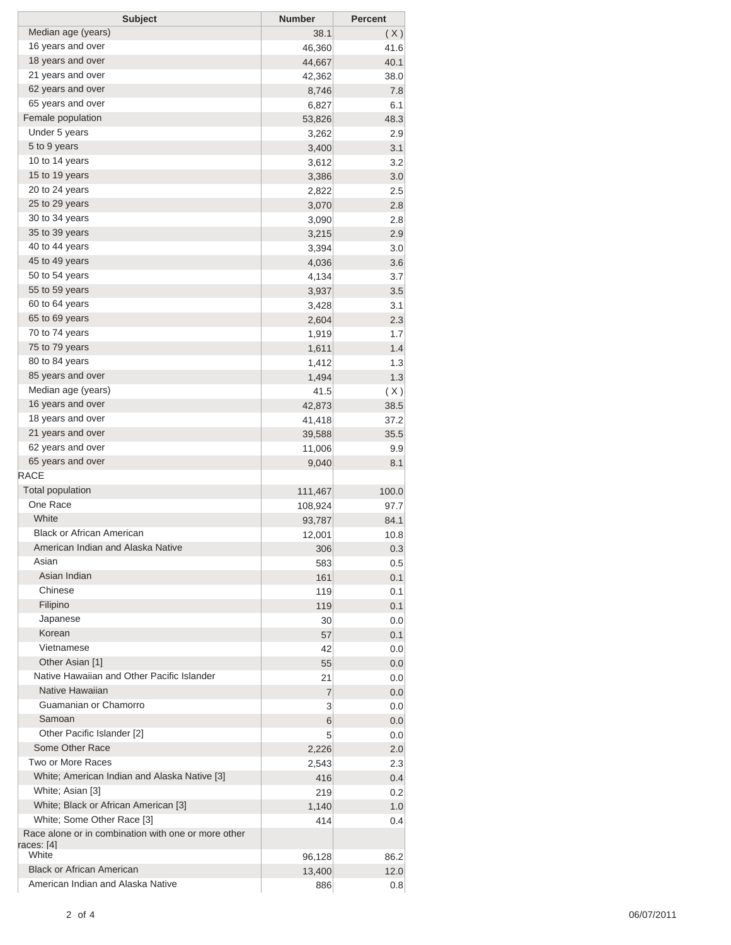| <b>Subject</b>                                      | <b>Number</b>  | <b>Percent</b> |
|-----------------------------------------------------|----------------|----------------|
| Median age (years)                                  | 38.1           | (X)            |
| 16 years and over                                   | 46,360         | 41.6           |
| 18 years and over                                   | 44,667         | 40.1           |
| 21 years and over                                   | 42,362         | 38.0           |
| 62 years and over                                   | 8,746          | 7.8            |
| 65 years and over                                   | 6,827          | 6.1            |
| Female population                                   | 53,826         | 48.3           |
| Under 5 years                                       | 3,262          | 2.9            |
| 5 to 9 years                                        | 3,400          | 3.1            |
| 10 to 14 years                                      | 3,612          | 3.2            |
| 15 to 19 years                                      | 3,386          | 3.0            |
| 20 to 24 years                                      | 2,822          | 2.5            |
| 25 to 29 years                                      | 3,070          | 2.8            |
| 30 to 34 years                                      | 3,090          | 2.8            |
| 35 to 39 years                                      | 3,215          | 2.9            |
| 40 to 44 years                                      | 3,394          | 3.0            |
| 45 to 49 years                                      | 4,036          | 3.6            |
| 50 to 54 years                                      | 4,134          | 3.7            |
| 55 to 59 years                                      | 3,937          | 3.5            |
| 60 to 64 years                                      | 3,428          | 3.1            |
| 65 to 69 years                                      | 2,604          | 2.3            |
| 70 to 74 years                                      |                |                |
| 75 to 79 years                                      | 1,919<br>1,611 | 1.7            |
| 80 to 84 years                                      |                | 1.4            |
| 85 years and over                                   | 1,412          | 1.3            |
|                                                     | 1,494          | 1.3            |
| Median age (years)                                  | 41.5           | (X)            |
| 16 years and over                                   | 42,873         | 38.5           |
| 18 years and over                                   | 41,418         | 37.2           |
| 21 years and over                                   | 39,588         | 35.5           |
| 62 years and over                                   | 11,006         | 9.9            |
| 65 years and over                                   | 9,040          | 8.1            |
| <b>RACE</b>                                         |                |                |
| <b>Total population</b>                             | 111,467        | 100.0          |
| One Race                                            | 108,924        | 97.7           |
| White                                               | 93,787         | 84.1           |
| <b>Black or African American</b>                    | 12,001         | 10.8           |
| American Indian and Alaska Native                   | 306            | 0.3            |
| Asian                                               | 583            | 0.5            |
| Asian Indian                                        | 161            | 0.1            |
| Chinese                                             | 119            | 0.1            |
| Filipino                                            | 119            | 0.1            |
| Japanese                                            | 30             | 0.0            |
| Korean                                              | 57             | 0.1            |
| Vietnamese                                          | 42             | 0.0            |
| Other Asian [1]                                     | 55             | 0.0            |
| Native Hawaiian and Other Pacific Islander          | 21             | 0.0            |
| Native Hawaiian                                     | 7              | 0.0            |
| Guamanian or Chamorro                               | 3              | 0.0            |
| Samoan                                              | 6              | 0.0            |
| Other Pacific Islander [2]                          | 5              | 0.0            |
| Some Other Race                                     | 2,226          | 2.0            |
| Two or More Races                                   | 2,543          | 2.3            |
| White; American Indian and Alaska Native [3]        | 416            | 0.4            |
| White; Asian [3]                                    | 219            | 0.2            |
| White; Black or African American [3]                | 1,140          | 1.0            |
| White; Some Other Race [3]                          | 414            | 0.4            |
| Race alone or in combination with one or more other |                |                |
| races: [4]                                          |                |                |
| White                                               | 96,128         | 86.2           |
| <b>Black or African American</b>                    | 13,400         | 12.0           |
| American Indian and Alaska Native                   | 886            | 0.8            |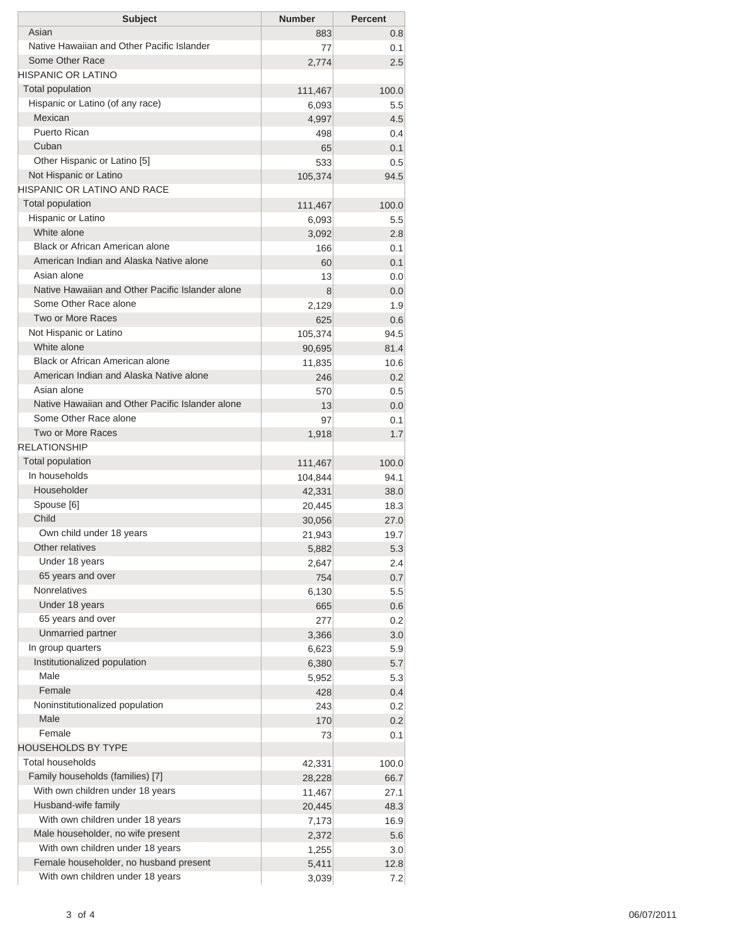| <b>Subject</b>                                   | <b>Number</b> | <b>Percent</b> |
|--------------------------------------------------|---------------|----------------|
| Asian                                            | 883           | 0.8            |
| Native Hawaiian and Other Pacific Islander       | 77            | 0.1            |
| Some Other Race                                  | 2,774         | 2.5            |
| <b>HISPANIC OR LATINO</b>                        |               |                |
| <b>Total population</b>                          | 111,467       | 100.0          |
| Hispanic or Latino (of any race)<br>Mexican      | 6,093         | 5.5            |
| Puerto Rican                                     | 4,997         | 4.5            |
| Cuban                                            | 498<br>65     | 0.4<br>0.1     |
| Other Hispanic or Latino [5]                     | 533           | 0.5            |
| Not Hispanic or Latino                           | 105,374       | 94.5           |
| HISPANIC OR LATINO AND RACE                      |               |                |
| <b>Total population</b>                          | 111,467       | 100.0          |
| Hispanic or Latino                               | 6,093         | 5.5            |
| White alone                                      | 3,092         | 2.8            |
| Black or African American alone                  | 166           | 0.1            |
| American Indian and Alaska Native alone          | 60            | 0.1            |
| Asian alone                                      | 13            | 0.0            |
| Native Hawaiian and Other Pacific Islander alone | 8             | 0.0            |
| Some Other Race alone                            | 2,129         | 1.9            |
| Two or More Races                                | 625           | 0.6            |
| Not Hispanic or Latino                           | 105,374       | 94.5           |
| White alone                                      | 90,695        | 81.4           |
| Black or African American alone                  | 11,835        | 10.6           |
| American Indian and Alaska Native alone          | 246           | 0.2            |
| Asian alone                                      | 570           | 0.5            |
| Native Hawaiian and Other Pacific Islander alone | 13            | 0.0            |
| Some Other Race alone                            | 97            | 0.1            |
| <b>Two or More Races</b>                         | 1,918         | 1.7            |
| <b>RELATIONSHIP</b>                              |               |                |
| Total population                                 | 111,467       | 100.0          |
| In households                                    | 104,844       | 94.1           |
| Householder                                      | 42,331        | 38.0           |
| Spouse [6]                                       | 20,445        | 18.3           |
| Child                                            | 30,056        | 27.0           |
| Own child under 18 years                         | 21,943        | 19.7           |
| Other relatives                                  | 5,882         | 5.3            |
| Under 18 years                                   | 2,647         | 2.4            |
| 65 years and over                                | 754           | 0.7            |
| <b>Nonrelatives</b>                              | 6,130         | 5.5            |
| Under 18 years                                   | 665           | 0.6            |
| 65 years and over                                | 277           | 0.2            |
| Unmarried partner                                | 3,366         | 3.0            |
| In group quarters                                | 6,623         | 5.9            |
| Institutionalized population                     | 6,380         | 5.7            |
| Male                                             | 5,952         | 5.3            |
| Female                                           | 428           | 0.4            |
| Noninstitutionalized population                  | 243           | 0.2            |
| Male                                             | 170           | 0.2            |
| Female                                           | 73            | 0.1            |
| <b>HOUSEHOLDS BY TYPE</b>                        |               |                |
| <b>Total households</b>                          | 42,331        | 100.0          |
| Family households (families) [7]                 | 28,228        | 66.7           |
| With own children under 18 years                 | 11,467        | 27.1           |
| Husband-wife family                              | 20,445        | 48.3           |
| With own children under 18 years                 | 7,173         | 16.9           |
| Male householder, no wife present                | 2,372         | 5.6            |
| With own children under 18 years                 | 1,255         | 3.0            |
| Female householder, no husband present           | 5,411         | 12.8           |
| With own children under 18 years                 | 3,039         | 7.2            |